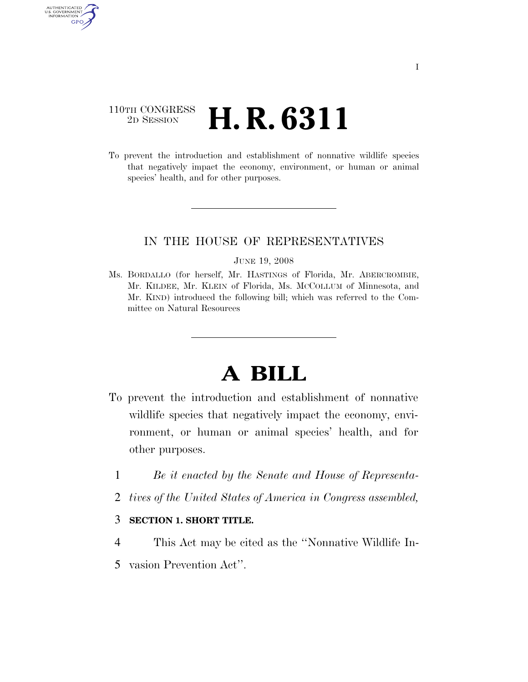# 110TH CONGRESS <sup>2D SESSION</sup> **H. R. 6311**

AUTHENTICATED U.S. GOVERNMENT GPO

> To prevent the introduction and establishment of nonnative wildlife species that negatively impact the economy, environment, or human or animal species' health, and for other purposes.

## IN THE HOUSE OF REPRESENTATIVES

#### JUNE 19, 2008

Ms. BORDALLO (for herself, Mr. HASTINGS of Florida, Mr. ABERCROMBIE, Mr. KILDEE, Mr. KLEIN of Florida, Ms. MCCOLLUM of Minnesota, and Mr. KIND) introduced the following bill; which was referred to the Committee on Natural Resources

# **A BILL**

- To prevent the introduction and establishment of nonnative wildlife species that negatively impact the economy, environment, or human or animal species' health, and for other purposes.
	- 1 *Be it enacted by the Senate and House of Representa-*
	- 2 *tives of the United States of America in Congress assembled,*

#### 3 **SECTION 1. SHORT TITLE.**

- 4 This Act may be cited as the ''Nonnative Wildlife In-
- 5 vasion Prevention Act''.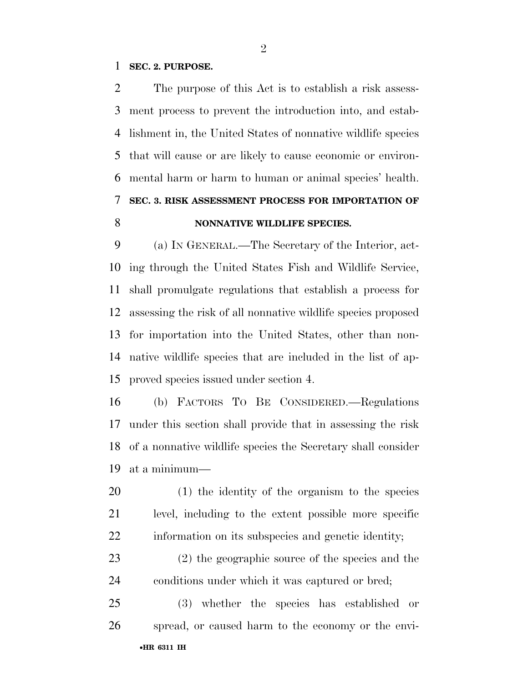#### **SEC. 2. PURPOSE.**

 The purpose of this Act is to establish a risk assess- ment process to prevent the introduction into, and estab- lishment in, the United States of nonnative wildlife species that will cause or are likely to cause economic or environ- mental harm or harm to human or animal species' health. **SEC. 3. RISK ASSESSMENT PROCESS FOR IMPORTATION OF NONNATIVE WILDLIFE SPECIES.** 

 (a) IN GENERAL.—The Secretary of the Interior, act- ing through the United States Fish and Wildlife Service, shall promulgate regulations that establish a process for assessing the risk of all nonnative wildlife species proposed for importation into the United States, other than non- native wildlife species that are included in the list of ap-proved species issued under section 4.

 (b) FACTORS TO BE CONSIDERED.—Regulations under this section shall provide that in assessing the risk of a nonnative wildlife species the Secretary shall consider at a minimum—

 (1) the identity of the organism to the species level, including to the extent possible more specific information on its subspecies and genetic identity;

 (2) the geographic source of the species and the conditions under which it was captured or bred;

•**HR 6311 IH** (3) whether the species has established or spread, or caused harm to the economy or the envi-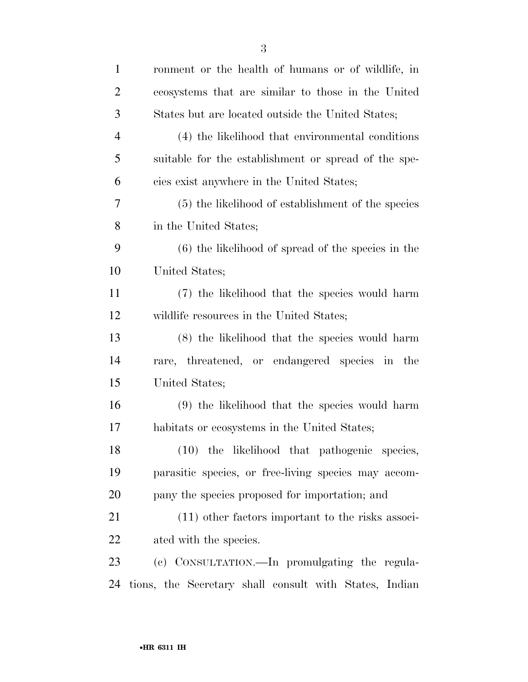| $\mathbf{1}$   | ronment or the health of humans or of wildlife, in     |
|----------------|--------------------------------------------------------|
| $\overline{2}$ | ecosystems that are similar to those in the United     |
| 3              | States but are located outside the United States;      |
| $\overline{4}$ | (4) the likelihood that environmental conditions       |
| 5              | suitable for the establishment or spread of the spe-   |
| 6              | cies exist anywhere in the United States;              |
| 7              | (5) the likelihood of establishment of the species     |
| 8              | in the United States;                                  |
| 9              | $(6)$ the likelihood of spread of the species in the   |
| 10             | United States;                                         |
| 11             | (7) the likelihood that the species would harm         |
| 12             | wildlife resources in the United States;               |
| 13             | (8) the likelihood that the species would harm         |
| 14             | rare, threatened, or endangered species in the         |
| 15             | United States;                                         |
| 16             | (9) the likelihood that the species would harm         |
| 17             | habitats or ecosystems in the United States;           |
| 18             | (10) the likelihood that pathogenic species,           |
| 19             | parasitic species, or free-living species may accom-   |
| 20             | pany the species proposed for importation; and         |
| 21             | $(11)$ other factors important to the risks associ-    |
| 22             | ated with the species.                                 |
| 23             | (c) CONSULTATION.—In promulgating the regula-          |
| 24             | tions, the Secretary shall consult with States, Indian |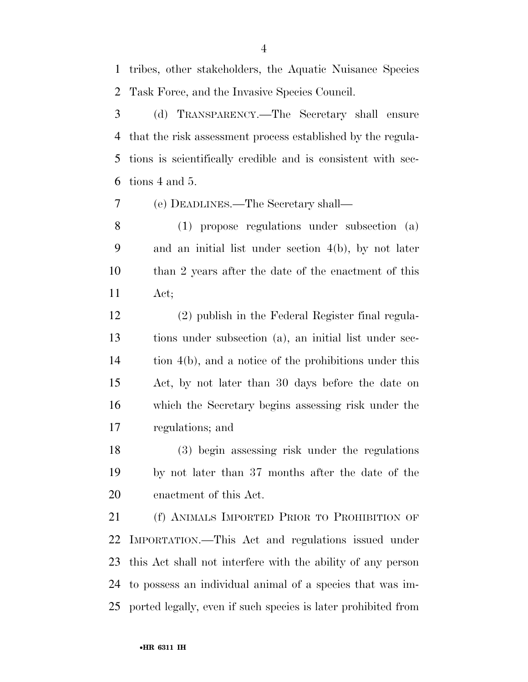tribes, other stakeholders, the Aquatic Nuisance Species Task Force, and the Invasive Species Council.

 (d) TRANSPARENCY.—The Secretary shall ensure that the risk assessment process established by the regula- tions is scientifically credible and is consistent with sec-tions 4 and 5.

(e) DEADLINES.—The Secretary shall—

 (1) propose regulations under subsection (a) and an initial list under section 4(b), by not later than 2 years after the date of the enactment of this Act;

 (2) publish in the Federal Register final regula- tions under subsection (a), an initial list under sec- tion 4(b), and a notice of the prohibitions under this Act, by not later than 30 days before the date on which the Secretary begins assessing risk under the regulations; and

 (3) begin assessing risk under the regulations by not later than 37 months after the date of the enactment of this Act.

21 (f) ANIMALS IMPORTED PRIOR TO PROHIBITION OF IMPORTATION.—This Act and regulations issued under this Act shall not interfere with the ability of any person to possess an individual animal of a species that was im-ported legally, even if such species is later prohibited from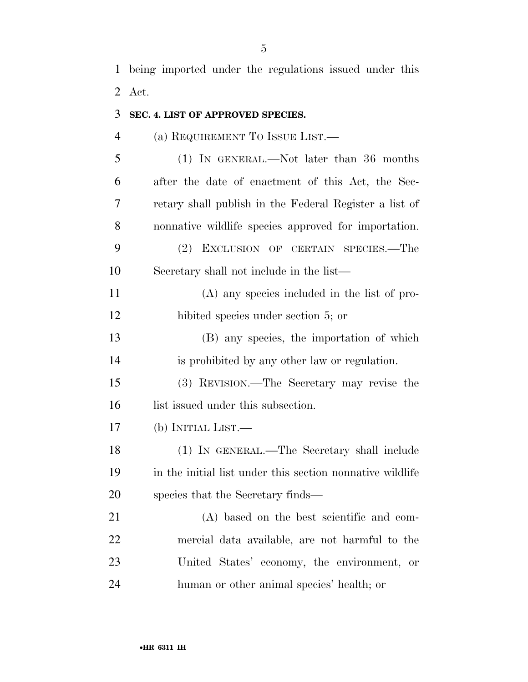being imported under the regulations issued under this Act.

| 3              | SEC. 4. LIST OF APPROVED SPECIES.                         |
|----------------|-----------------------------------------------------------|
| $\overline{4}$ | (a) REQUIREMENT TO ISSUE LIST.—                           |
| 5              | (1) IN GENERAL.—Not later than 36 months                  |
| 6              | after the date of enactment of this Act, the Sec-         |
| 7              | retary shall publish in the Federal Register a list of    |
| 8              | nonnative wildlife species approved for importation.      |
| 9              | (2) EXCLUSION OF CERTAIN SPECIES.—The                     |
| 10             | Secretary shall not include in the list—                  |
| 11             | (A) any species included in the list of pro-              |
| 12             | hibited species under section 5; or                       |
| 13             | (B) any species, the importation of which                 |
| 14             | is prohibited by any other law or regulation.             |
| 15             | (3) REVISION.—The Secretary may revise the                |
| 16             | list issued under this subsection.                        |
| 17             | (b) INITIAL LIST.—                                        |
| 18             | (1) IN GENERAL.—The Secretary shall include               |
| 19             | in the initial list under this section nonnative wildlife |
| 20             | species that the Secretary finds—                         |
| 21             | (A) based on the best scientific and com-                 |
| 22             | mercial data available, are not harmful to the            |
| 23             | United States' economy, the environment, or               |
| 24             | human or other animal species' health; or                 |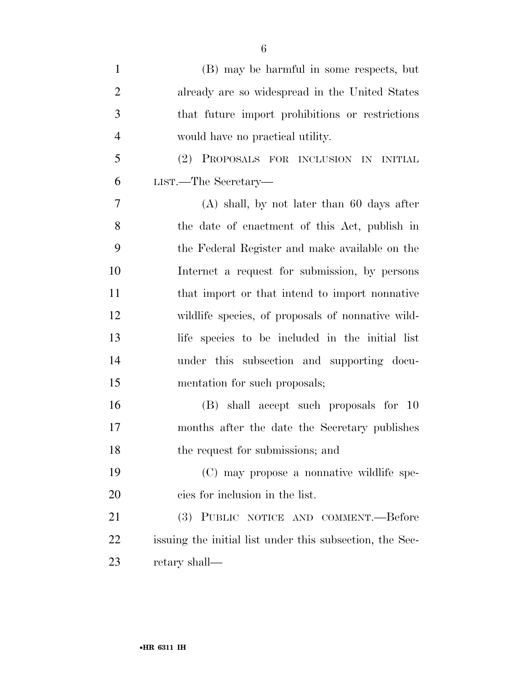| $\mathbf{1}$   | (B) may be harmful in some respects, but                 |
|----------------|----------------------------------------------------------|
| $\overline{2}$ | already are so widespread in the United States           |
| 3              | that future import prohibitions or restrictions          |
| $\overline{4}$ | would have no practical utility.                         |
| 5              | (2) PROPOSALS FOR INCLUSION IN INITIAL                   |
| 6              | $_{\rm LIST.}-$ The Secretary—                           |
| 7              | $(A)$ shall, by not later than 60 days after             |
| 8              | the date of enactment of this Act, publish in            |
| 9              | the Federal Register and make available on the           |
| 10             | Internet a request for submission, by persons            |
| 11             | that import or that intend to import nonnative           |
| 12             | wildlife species, of proposals of nonnative wild-        |
| 13             | life species to be included in the initial list          |
| 14             | under this subsection and supporting docu-               |
| 15             | mentation for such proposals;                            |
| 16             | (B) shall accept such proposals for 10                   |
| 17             | months after the date the Secretary publishes            |
| 18             | the request for submissions; and                         |
| 19             | (C) may propose a nonnative wildlife spe-                |
| 20             | cies for inclusion in the list.                          |
| 21             | (3) PUBLIC NOTICE AND COMMENT.—Before                    |
| 22             | issuing the initial list under this subsection, the Sec- |
| 23             | retary shall—                                            |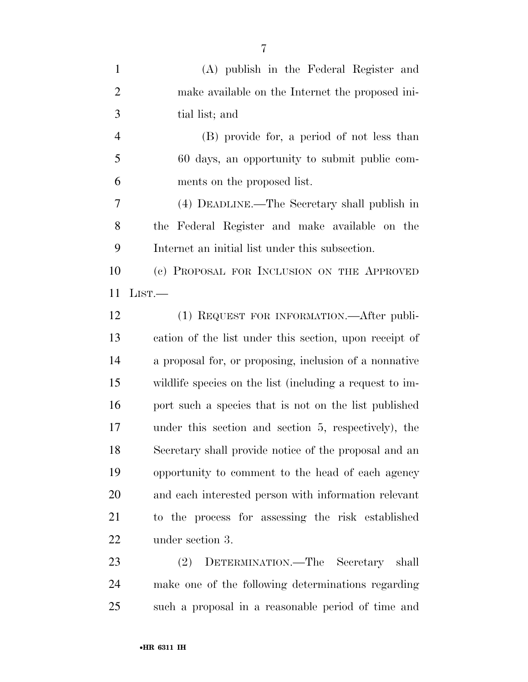| $\mathbf{1}$   | (A) publish in the Federal Register and                  |
|----------------|----------------------------------------------------------|
| $\overline{2}$ | make available on the Internet the proposed in-          |
| 3              | tial list; and                                           |
| $\overline{4}$ | (B) provide for, a period of not less than               |
| 5              | 60 days, an opportunity to submit public com-            |
| 6              | ments on the proposed list.                              |
| 7              | (4) DEADLINE.—The Secretary shall publish in             |
| 8              | the Federal Register and make available on the           |
| 9              | Internet an initial list under this subsection.          |
| 10             | (c) PROPOSAL FOR INCLUSION ON THE APPROVED               |
| 11             | LIST.                                                    |
| 12             | (1) REQUEST FOR INFORMATION. - After publi-              |
| 13             | cation of the list under this section, upon receipt of   |
| 14             | a proposal for, or proposing, inclusion of a nonnative   |
| 15             | wildlife species on the list (including a request to im- |
| 16             | port such a species that is not on the list published    |
| 17             | under this section and section 5, respectively), the     |
| 18             | Secretary shall provide notice of the proposal and an    |
| 19             | opportunity to comment to the head of each agency        |
| 20             | and each interested person with information relevant     |
| 21             | to the process for assessing the risk established        |
| 22             | under section 3.                                         |
| 23             | (9) DETERMINATION The Secretary shall                    |

 (2) DETERMINATION.—The Secretary shall make one of the following determinations regarding such a proposal in a reasonable period of time and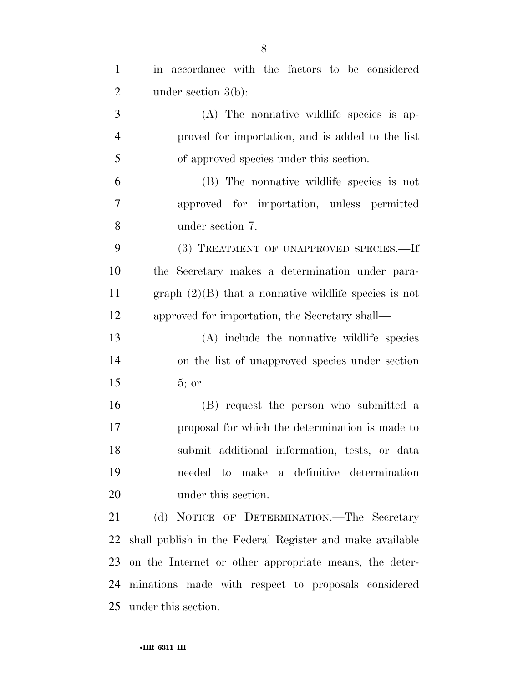| $\mathbf{1}$   | in accordance with the factors to be considered          |
|----------------|----------------------------------------------------------|
| $\overline{2}$ | under section $3(b)$ :                                   |
| 3              | (A) The nonnative wildlife species is ap-                |
| $\overline{4}$ | proved for importation, and is added to the list         |
| 5              | of approved species under this section.                  |
| 6              | (B) The nonnative wildlife species is not                |
| 7              | approved for importation, unless permitted               |
| 8              | under section 7.                                         |
| 9              | (3) TREATMENT OF UNAPPROVED SPECIES.-If                  |
| 10             | the Secretary makes a determination under para-          |
| 11             | graph $(2)(B)$ that a nonnative wildlife species is not  |
| 12             | approved for importation, the Secretary shall—           |
| 13             | (A) include the nonnative wildlife species               |
| 14             | on the list of unapproved species under section          |
| 15             | $5;$ or                                                  |
| 16             | (B) request the person who submitted a                   |
| 17             | proposal for which the determination is made to          |
| 18             | submit additional information, tests, or data            |
| 19             | needed to make a definitive determination                |
| 20             | under this section.                                      |
| 21             | (d) NOTICE OF DETERMINATION.—The Secretary               |
| 22             | shall publish in the Federal Register and make available |
| 23             | on the Internet or other appropriate means, the deter-   |
| 24             | minations made with respect to proposals considered      |
| 25             | under this section.                                      |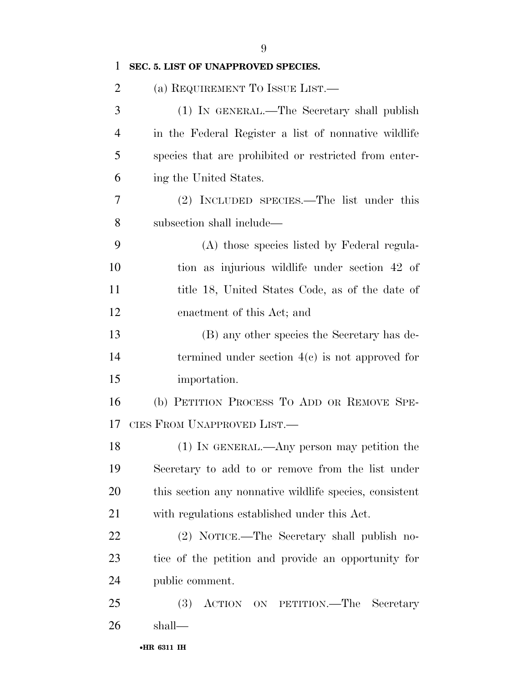| $\mathbf{1}$   | SEC. 5. LIST OF UNAPPROVED SPECIES.                     |
|----------------|---------------------------------------------------------|
| $\overline{2}$ | (a) REQUIREMENT TO ISSUE LIST.—                         |
| 3              | (1) IN GENERAL.—The Secretary shall publish             |
| $\overline{4}$ | in the Federal Register a list of nonnative wildlife    |
| 5              | species that are prohibited or restricted from enter-   |
| 6              | ing the United States.                                  |
| 7              | (2) INCLUDED SPECIES.—The list under this               |
| 8              | subsection shall include—                               |
| 9              | (A) those species listed by Federal regula-             |
| 10             | tion as injurious wildlife under section 42 of          |
| 11             | title 18, United States Code, as of the date of         |
| 12             | enactment of this Act; and                              |
| 13             | (B) any other species the Secretary has de-             |
| 14             | termined under section $4(c)$ is not approved for       |
| 15             | importation.                                            |
| 16             | (b) PETITION PROCESS TO ADD OR REMOVE SPE-              |
| 17             | CIES FROM UNAPPROVED LIST.                              |
| 18             | $(1)$ In GENERAL.—Any person may petition the           |
| 19             | Secretary to add to or remove from the list under       |
| 20             | this section any nonnative wildlife species, consistent |
| 21             | with regulations established under this Act.            |
| 22             | (2) NOTICE.—The Secretary shall publish no-             |
| 23             | tice of the petition and provide an opportunity for     |
| 24             | public comment.                                         |
| 25             | <b>(3)</b><br>ACTION ON PETITION.—The<br>Secretary      |
| 26             | shall—                                                  |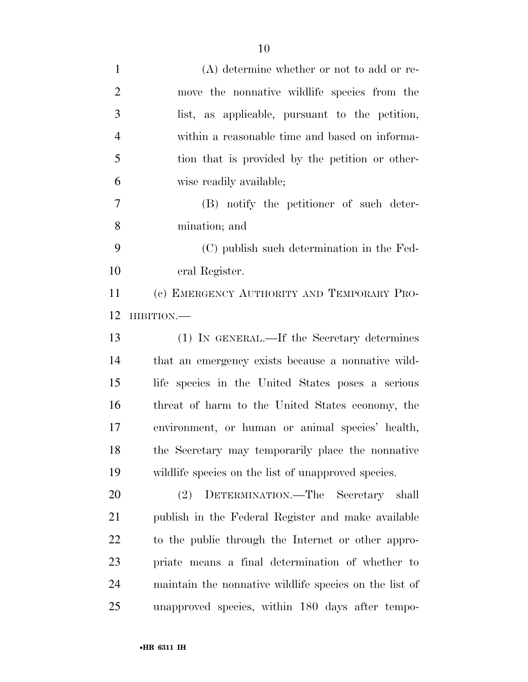| $\mathbf{1}$   | $(A)$ determine whether or not to add or re-           |
|----------------|--------------------------------------------------------|
| $\overline{2}$ | move the nonnative wildlife species from the           |
| 3              | list, as applicable, pursuant to the petition,         |
| $\overline{4}$ | within a reasonable time and based on informa-         |
| 5              | tion that is provided by the petition or other-        |
| 6              | wise readily available;                                |
| 7              | (B) notify the petitioner of such deter-               |
| 8              | mination; and                                          |
| 9              | (C) publish such determination in the Fed-             |
| 10             | eral Register.                                         |
| 11             | (c) EMERGENCY AUTHORITY AND TEMPORARY PRO-             |
| 12             | HIBITION.-                                             |
| 13             | (1) IN GENERAL.—If the Secretary determines            |
| 14             | that an emergency exists because a nonnative wild-     |
| 15             | life species in the United States poses a serious      |
| 16             | threat of harm to the United States economy, the       |
| 17             | environment, or human or animal species' health,       |
| 18             | the Secretary may temporarily place the nonnative      |
| 19             | wildlife species on the list of unapproved species.    |
| 20             | DETERMINATION.—The Secretary shall<br>(2)              |
| 21             | publish in the Federal Register and make available     |
| 22             | to the public through the Internet or other appro-     |
| 23             | priate means a final determination of whether to       |
| 24             | maintain the nonnative wildlife species on the list of |
| 25             | unapproved species, within 180 days after tempo-       |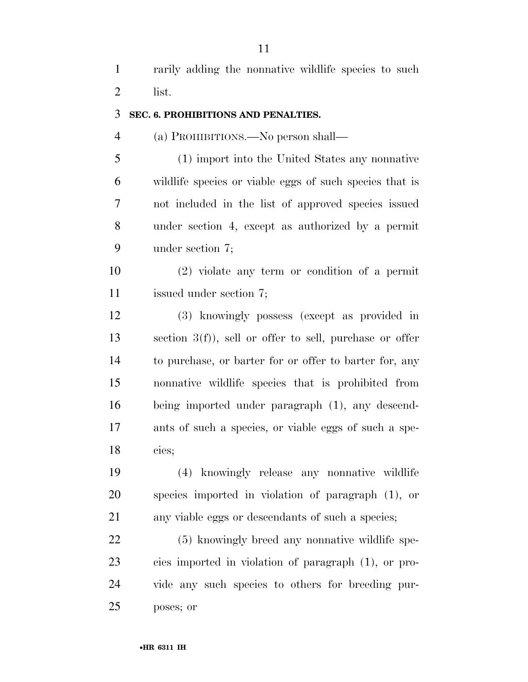rarily adding the nonnative wildlife species to such list.

#### **SEC. 6. PROHIBITIONS AND PENALTIES.**

#### (a) PROHIBITIONS.—No person shall—

 (1) import into the United States any nonnative wildlife species or viable eggs of such species that is not included in the list of approved species issued under section 4, except as authorized by a permit under section 7;

 (2) violate any term or condition of a permit issued under section 7;

 (3) knowingly possess (except as provided in section 3(f)), sell or offer to sell, purchase or offer to purchase, or barter for or offer to barter for, any nonnative wildlife species that is prohibited from being imported under paragraph (1), any descend- ants of such a species, or viable eggs of such a spe-cies;

 (4) knowingly release any nonnative wildlife species imported in violation of paragraph (1), or any viable eggs or descendants of such a species;

 (5) knowingly breed any nonnative wildlife spe- cies imported in violation of paragraph (1), or pro- vide any such species to others for breeding pur-poses; or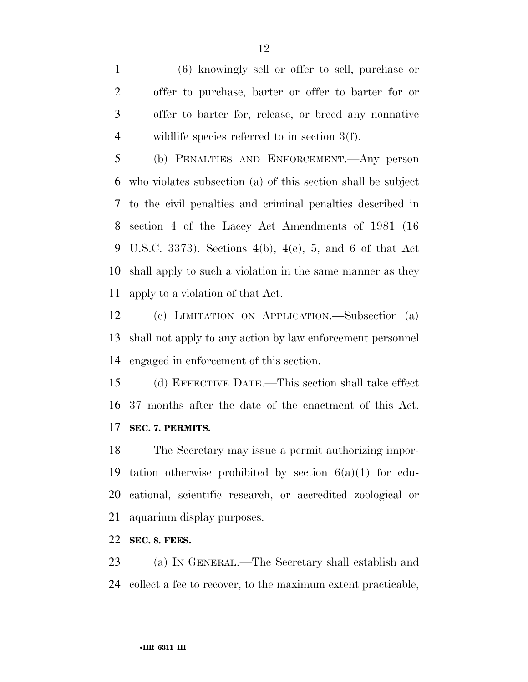(6) knowingly sell or offer to sell, purchase or offer to purchase, barter or offer to barter for or offer to barter for, release, or breed any nonnative wildlife species referred to in section 3(f).

 (b) PENALTIES AND ENFORCEMENT.—Any person who violates subsection (a) of this section shall be subject to the civil penalties and criminal penalties described in section 4 of the Lacey Act Amendments of 1981 (16 U.S.C. 3373). Sections 4(b), 4(e), 5, and 6 of that Act shall apply to such a violation in the same manner as they apply to a violation of that Act.

 (c) LIMITATION ON APPLICATION.—Subsection (a) shall not apply to any action by law enforcement personnel engaged in enforcement of this section.

 (d) EFFECTIVE DATE.—This section shall take effect 37 months after the date of the enactment of this Act. **SEC. 7. PERMITS.** 

 The Secretary may issue a permit authorizing impor-19 tation otherwise prohibited by section  $6(a)(1)$  for edu- cational, scientific research, or accredited zoological or aquarium display purposes.

**SEC. 8. FEES.** 

 (a) IN GENERAL.—The Secretary shall establish and collect a fee to recover, to the maximum extent practicable,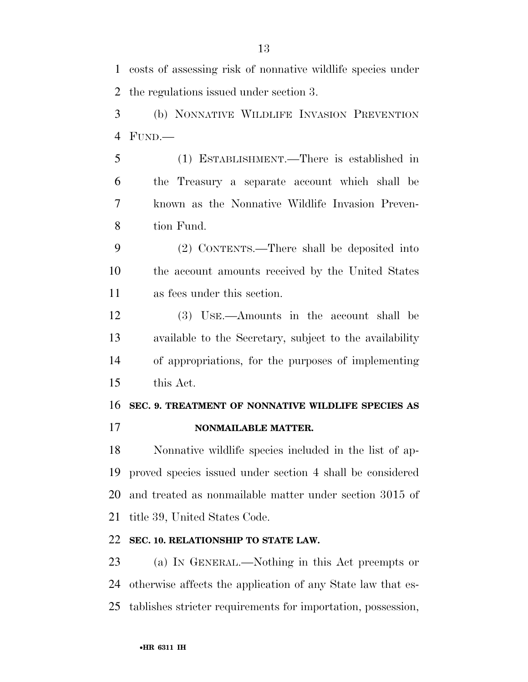costs of assessing risk of nonnative wildlife species under the regulations issued under section 3.

 (b) NONNATIVE WILDLIFE INVASION PREVENTION FUND.—

 (1) ESTABLISHMENT.—There is established in the Treasury a separate account which shall be known as the Nonnative Wildlife Invasion Preven-tion Fund.

 (2) CONTENTS.—There shall be deposited into the account amounts received by the United States as fees under this section.

 (3) USE.—Amounts in the account shall be available to the Secretary, subject to the availability of appropriations, for the purposes of implementing this Act.

#### **SEC. 9. TREATMENT OF NONNATIVE WILDLIFE SPECIES AS**

**NONMAILABLE MATTER.** 

 Nonnative wildlife species included in the list of ap- proved species issued under section 4 shall be considered and treated as nonmailable matter under section 3015 of title 39, United States Code.

### **SEC. 10. RELATIONSHIP TO STATE LAW.**

 (a) IN GENERAL.—Nothing in this Act preempts or otherwise affects the application of any State law that es-tablishes stricter requirements for importation, possession,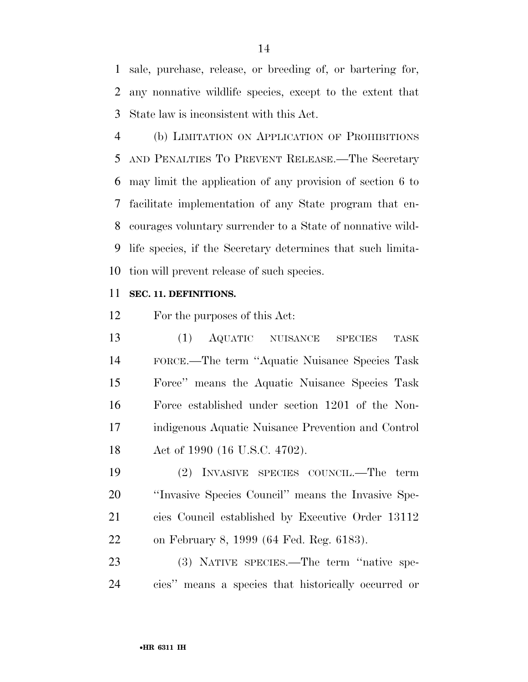sale, purchase, release, or breeding of, or bartering for, any nonnative wildlife species, except to the extent that State law is inconsistent with this Act.

 (b) LIMITATION ON APPLICATION OF PROHIBITIONS AND PENALTIES TO PREVENT RELEASE.—The Secretary may limit the application of any provision of section 6 to facilitate implementation of any State program that en- courages voluntary surrender to a State of nonnative wild- life species, if the Secretary determines that such limita-tion will prevent release of such species.

#### **SEC. 11. DEFINITIONS.**

For the purposes of this Act:

 (1) AQUATIC NUISANCE SPECIES TASK FORCE.—The term ''Aquatic Nuisance Species Task Force'' means the Aquatic Nuisance Species Task Force established under section 1201 of the Non- indigenous Aquatic Nuisance Prevention and Control Act of 1990 (16 U.S.C. 4702).

 (2) INVASIVE SPECIES COUNCIL.—The term ''Invasive Species Council'' means the Invasive Spe- cies Council established by Executive Order 13112 on February 8, 1999 (64 Fed. Reg. 6183).

 (3) NATIVE SPECIES.—The term ''native spe-cies'' means a species that historically occurred or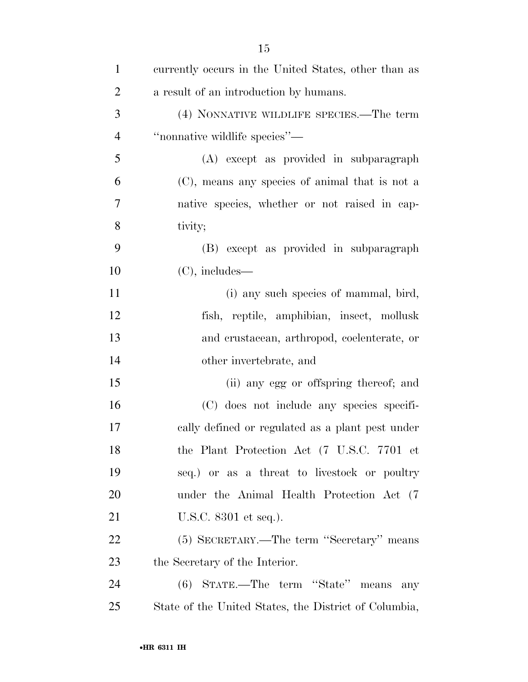| $\mathbf{1}$   | currently occurs in the United States, other than as  |
|----------------|-------------------------------------------------------|
| $\overline{2}$ | a result of an introduction by humans.                |
| 3              | (4) NONNATIVE WILDLIFE SPECIES.—The term              |
| $\overline{4}$ | "nonnative wildlife species"—                         |
| 5              | (A) except as provided in subparagraph                |
| 6              | (C), means any species of animal that is not a        |
| $\overline{7}$ | native species, whether or not raised in cap-         |
| 8              | tivity;                                               |
| 9              | (B) except as provided in subparagraph                |
| 10             | $(C)$ , includes—                                     |
| 11             | (i) any such species of mammal, bird,                 |
| 12             | fish, reptile, amphibian, insect, mollusk             |
| 13             | and crustacean, arthropod, coelenterate, or           |
| 14             | other invertebrate, and                               |
| 15             | (ii) any egg or offspring thereof; and                |
| 16             | (C) does not include any species specifi-             |
| 17             | cally defined or regulated as a plant pest under      |
| 18             | the Plant Protection Act (7 U.S.C. 7701 et            |
| 19             | seq.) or as a threat to livestock or poultry          |
| 20             | under the Animal Health Protection Act (7)            |
| 21             | U.S.C. 8301 et seq.).                                 |
| 22             | (5) SECRETARY.—The term "Secretary" means             |
| 23             | the Secretary of the Interior.                        |
| 24             | (6) STATE.—The term "State" means any                 |
| 25             | State of the United States, the District of Columbia, |